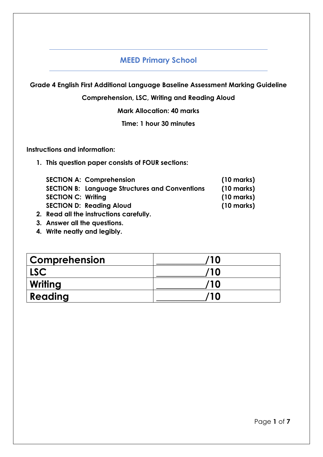# **MEED Primary School**

**Grade 4 English First Additional Language Baseline Assessment Marking Guideline**

**Comprehension, LSC, Writing and Reading Aloud**

**Mark Allocation: 40 marks**

**Time: 1 hour 30 minutes**

**Instructions and information:**

**1. This question paper consists of FOUR sections:**

| <b>SECTION A: Comprehension</b>                       | $(10 \text{ marks})$ |
|-------------------------------------------------------|----------------------|
| <b>SECTION B: Language Structures and Conventions</b> | $(10 \text{ marks})$ |
| <b>SECTION C: Writing</b>                             | $(10 \text{ marks})$ |
| <b>SECTION D: Reading Aloud</b>                       | $(10 \text{ marks})$ |
|                                                       |                      |

- **2. Read all the instructions carefully.**
- **3. Answer all the questions.**
- **4. Write neatly and legibly.**

| <b>Comprehension</b> | /10 |
|----------------------|-----|
| LSC <sup>1</sup>     | /10 |
| Writing              | /10 |
| Reading              | /10 |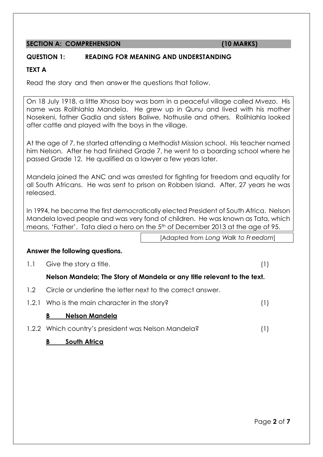# **SECTION A: COMPREHENSION (10 MARKS)**

#### **QUESTION 1: READING FOR MEANING AND UNDERSTANDING**

# **TEXT A**

Read the story and then answer the questions that follow.

On 18 July 1918, a little Xhosa boy was born in a peaceful village called Mvezo. His name was Rolihlahla Mandela. He grew up in Qunu and lived with his mother Nosekeni, father Gadla and sisters Baliwe, Nothusile and others. Rolihlahla looked after cattle and played with the boys in the village.

At the age of 7, he started attending a Methodist Mission school. His teacher named him Nelson. After he had finished Grade 7, he went to a boarding school where he passed Grade 12. He qualified as a lawyer a few years later.

Mandela joined the ANC and was arrested for fighting for freedom and equality for all South Africans. He was sent to prison on Robben Island. After, 27 years he was released.

In 1994, he became the first democratically elected President of South Africa. Nelson Mandela loved people and was very fond of children. He was known as Tata, which means, 'Father'. Tata died a hero on the 5<sup>th</sup> of December 2013 at the age of 95.

[Adapted from *Long Walk to Freedom*]

#### **Answer the following questions.**

1.1 Give the story a title. (1)

# **Nelson Mandela; The Story of Mandela or any title relevant to the text.**

- 1.2 Circle or underline the letter next to the correct answer.
- 1.2.1 Who is the main character in the story? (1)

#### **B Nelson Mandela**

1.2.2 Which country's president was Nelson Mandela? (1)

# **B South Africa**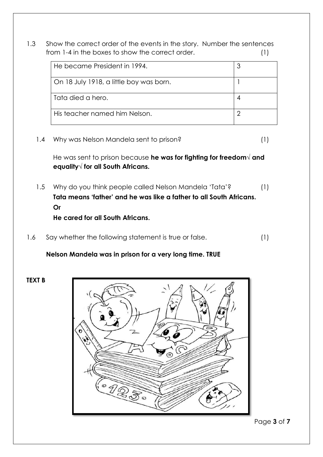1.3 Show the correct order of the events in the story. Number the sentences from 1-4 in the boxes to show the correct order. (1)

| He became President in 1994.            |  |
|-----------------------------------------|--|
| On 18 July 1918, a little boy was born. |  |
| l Tata died a hero.                     |  |
| His teacher named him Nelson.           |  |

1.4 Why was Nelson Mandela sent to prison? (1)

He was sent to prison because **he was for fighting for freedom√ and equality√ for all South Africans.** 

- 1.5 Why do you think people called Nelson Mandela 'Tata'? (1) **Tata means 'father' and he was like a father to all South Africans. Or He cared for all South Africans.**
- 1.6 Say whether the following statement is true or false. (1)

#### **Nelson Mandela was in prison for a very long time. TRUE**

**TEXT B**



Page **3** of **7**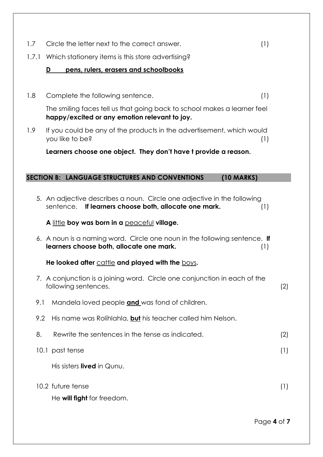- 1.7 Circle the letter next to the correct answer. (1)
- 1.7.1 Which stationery items is this store advertising?

# **D pens, rulers, erasers and schoolbooks**

1.8 Complete the following sentence. (1)

The smiling faces tell us that going back to school makes a learner feel **happy/excited or any emotion relevant to joy.**

1.9 If you could be any of the products in the advertisement, which would you like to be? (1)

**Learners choose one object. They don't have t provide a reason.**

#### **SECTION B: LANGUAGE STRUCTURES AND CONVENTIONS (10 MARKS)**

5. An adjective describes a noun. Circle one adjective in the following sentence. **If learners choose both, allocate one mark.** (1) **A** little **boy was born in a** peaceful **village.** 6. A noun is a naming word. Circle one noun in the following sentence. **If learners choose both, allocate one mark.** (1)

**He looked after** cattle **and played with the** boys**.**

- 7. A conjunction is a joining word. Circle one conjunction in each of the following sentences. (2)
- 9.1 Mandela loved people **and** was fond of children.
- 9.2 His name was Rolihlahla, **but** his teacher called him Nelson.
- 8. Rewrite the sentences in the tense as indicated. (2)
- 10.1 past tense (1)

His sisters **lived** in Qunu.

10.2 future tense (1) He **will fight** for freedom.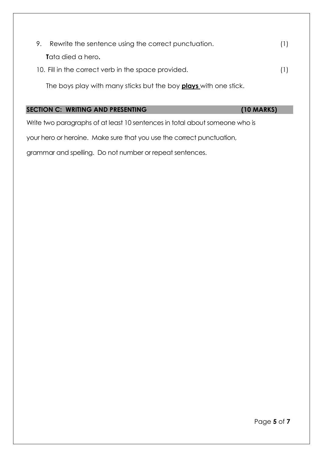| 9. | Rewrite the sentence using the correct punctuation. | (1) |
|----|-----------------------------------------------------|-----|
|    | <b>T</b> ata died a hero.                           |     |
|    | 10. Fill in the correct verb in the space provided. | (1) |

The boys play with many sticks but the boy **plays** with one stick.

# **SECTION C: WRITING AND PRESENTING (10 MARKS)**

Write two paragraphs of at least 10 sentences in total about someone who is

your hero or heroine. Make sure that you use the correct punctuation,

grammar and spelling. Do not number or repeat sentences.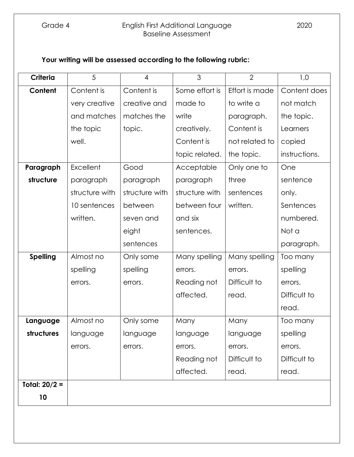# Grade 4 English First Additional Language 2020 Baseline Assessment

# **Your writing will be assessed according to the following rubric:**

| <b>Criteria</b> | 5                 | $\overline{4}$ | 3              | $\overline{2}$ | 1,0           |
|-----------------|-------------------|----------------|----------------|----------------|---------------|
| Content         | Content is        | Content is     | Some effort is | Effort is made | Content does  |
|                 | very creative     | creative and   | made to        | to write a     | not match     |
|                 | and matches       | matches the    | write          | paragraph.     | the topic.    |
|                 | the topic         | topic.         | creatively.    | Content is     | Learners      |
|                 | well.             |                | Content is     | not related to | copied        |
|                 |                   |                | topic related. | the topic.     | instructions. |
| Paragraph       | Excellent<br>Good |                | Acceptable     | Only one to    | One           |
| structure       | paragraph         | paragraph      | paragraph      | three          | sentence      |
|                 | structure with    | structure with | structure with | sentences      | only.         |
|                 | 10 sentences      | between        | between four   | written.       | Sentences     |
|                 | written.          | seven and      | and six        |                | numbered.     |
|                 |                   | eight          | sentences.     |                | Not a         |
|                 |                   | sentences      |                |                | paragraph.    |
| <b>Spelling</b> | Almost no         | Only some      | Many spelling  | Many spelling  | Too many      |
|                 | spelling          | spelling       | errors.        | errors.        | spelling      |
|                 | errors.           | errors.        | Reading not    | Difficult to   | errors.       |
|                 |                   |                | affected.      | read.          | Difficult to  |
|                 |                   |                |                |                | read.         |
| Language        | Almost no         | Only some      | Many           | Many           | Too many      |
| structures      | language          | language       | language       | language       | spelling      |
|                 | errors.           | errors.        | errors.        | errors.        | errors.       |
|                 |                   |                | Reading not    | Difficult to   | Difficult to  |
|                 |                   |                | affected.      | read.          | read.         |
| Total: $20/2 =$ |                   |                |                |                |               |
| 10              |                   |                |                |                |               |